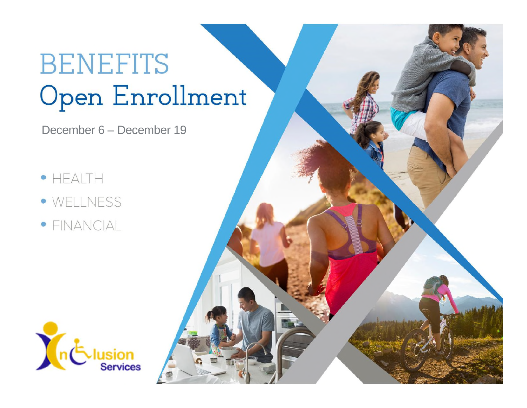# **BENEFITS** Open Enrollment

December 6 – December 19

- $\bullet$  HEALTH
- · WELLNESS
- · FINANCIAL



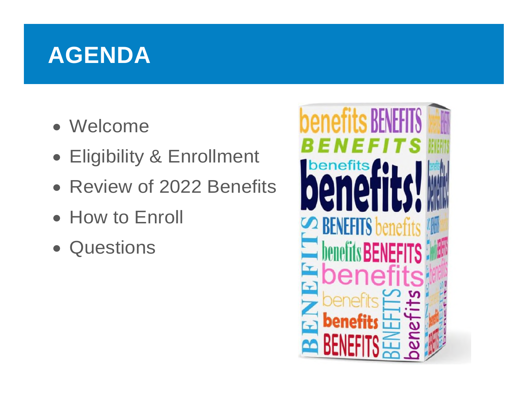### **AGENDA**

- Welcome
- Eligibility & Enrollment
- Review of 2022 Benefits
- How to Enroll
- Questions

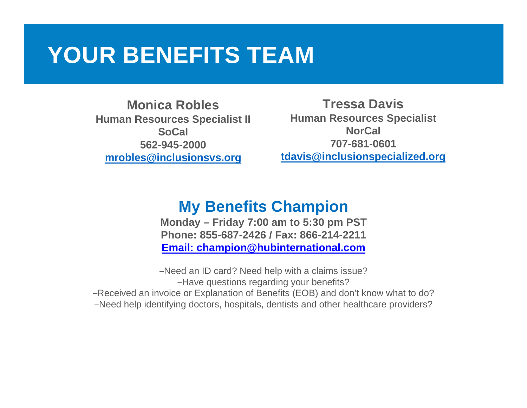### **YOUR BENEFITS TEAM**

**Monica Robles Human Resources Specialist II SoCal 562-945-2000 mrobles@inclusionsvs.org**

**Tressa Davis Human Resources Specialist NorCal 707-681-0601 tdavis@inclusionspecialized.org**

### **My Benefits Champion**

**Monday – Friday 7:00 am to 5:30 pm PST Phone: 855-687-2426 / Fax: 866-214-2211 Email: champion@hubinternational.com**

–Need an ID card? Need help with a claims issue? –Have questions regarding your benefits?

–Received an invoice or Explanation of Benefits (EOB) and don't know what to do?

–Need help identifying doctors, hospitals, dentists and other healthcare providers?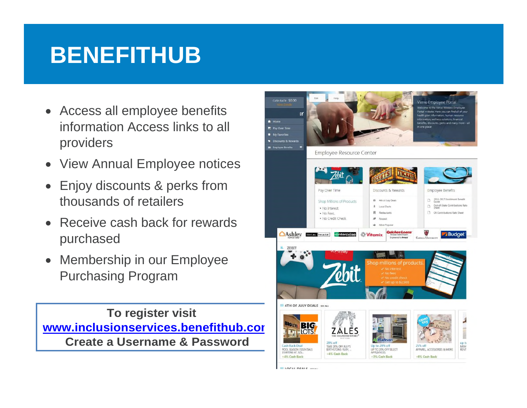### **BENEFITHUB**

- Access all employee benefits information Access links to all providers
- View Annual Employee notices
- Enjoy discounts & perks from thousands of retailers
- Receive cash back for rewards purchased
- Membership in our Employee Purchasing Program

**To register visit www.inclusionservices.benefithub.com Create a Username & Password** 

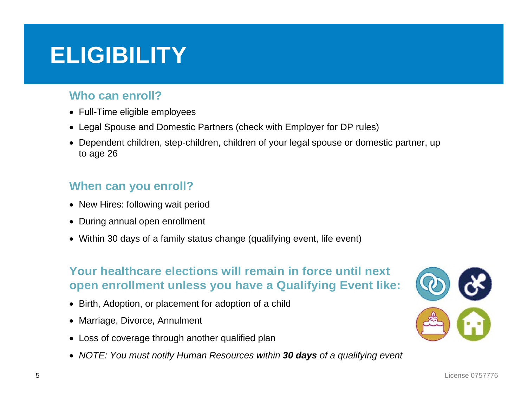### **ELIGIBILITY**

#### **Who can enroll?**

- Full-Time eligible employees
- Legal Spouse and Domestic Partners (check with Employer for DP rules)
- Dependent children, step-children, children of your legal spouse or domestic partner, up to age 26

#### **When can you enroll?**

- New Hires: following wait period
- During annual open enrollment
- Within 30 days of a family status change (qualifying event, life event)

#### **Your healthcare elections will remain in force until next open enrollment unless you have a Qualifying Event like:**

- Birth, Adoption, or placement for adoption of a child
- Marriage, Divorce, Annulment
- Loss of coverage through another qualified plan
- *NOTE: You must notify Human Resources within 30 days of a qualifying event*

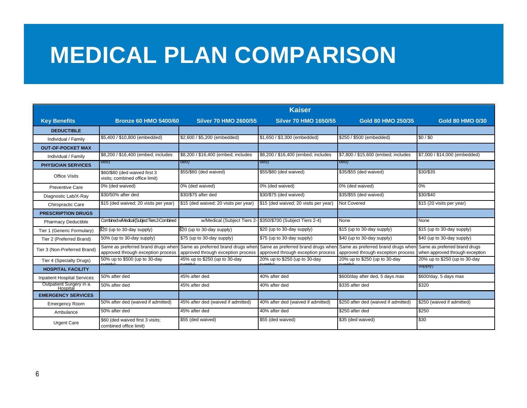### **MEDICAL PLAN COMPARISON**

|                                     | <b>Kaiser</b>                                                            |                                                                          |                                                                          |                                                                          |                                                                  |  |
|-------------------------------------|--------------------------------------------------------------------------|--------------------------------------------------------------------------|--------------------------------------------------------------------------|--------------------------------------------------------------------------|------------------------------------------------------------------|--|
| <b>Key Benefits</b>                 | <b>Bronze 60 HMO 5400/60</b>                                             | <b>Silver 70 HMO 2600/55</b>                                             | <b>Silver 70 HMO 1650/55</b>                                             | Gold 80 HMO 250/35                                                       | <b>Gold 80 HMO 0/30</b>                                          |  |
| <b>DEDUCTIBLE</b>                   |                                                                          |                                                                          |                                                                          |                                                                          |                                                                  |  |
| Individual / Family                 | \$5,400 / \$10,800 (embedded)                                            | \$2,600 / \$5,200 (embedded)                                             | \$1,650 / \$3,300 (embedded)                                             | \$250 / \$500 (embedded)                                                 | \$0/\$0                                                          |  |
| <b>OUT-OF-POCKET MAX</b>            |                                                                          |                                                                          |                                                                          |                                                                          |                                                                  |  |
| Individual / Family                 | \$8,200 / \$16,400 (embed; includes                                      | \$8,200 / \$16,400 (embed; includes                                      | \$8,200 / \$16,400 (embed; includes                                      | \$7,800 / \$15,600 (embed; includes                                      | \$7,000 / \$14,000 (embedded)                                    |  |
| <b>PHYSICIAN SERVICES</b>           | aea)                                                                     | aea)                                                                     | aea)                                                                     | aea)                                                                     |                                                                  |  |
| <b>Office Visits</b>                | \$60/\$80 (ded waived first 3<br>visits; combined office limit)          | \$55/\$80 (ded waived)                                                   | \$55/\$80 (ded waived)                                                   | \$35/\$55 (ded waived)                                                   | \$30/\$35                                                        |  |
| Preventive Care                     | 0% (ded waived)                                                          | 0% (ded waived)                                                          | 0% (ded waived)                                                          | 0% (ded waived)                                                          | 0%                                                               |  |
| Diagnostic Lab/X-Ray                | \$30/50% after ded                                                       | \$30/\$75 after ded                                                      | \$30/\$75 (ded waived)                                                   | \$35/\$55 (ded waived)                                                   | \$30/\$40                                                        |  |
| Chiropractic Care                   | \$15 (ded waived; 20 visits per year)                                    | \$15 (ded waived; 20 visits per year)                                    | \$15 (ded waived; 20 visits per year)                                    | Not Covered                                                              | \$15 (20 visits per year)                                        |  |
| <b>PRESCRIPTION DRUGS</b>           |                                                                          |                                                                          |                                                                          |                                                                          |                                                                  |  |
| <b>Pharmacy Deductible</b>          | Combined w/Medical (Subject Tiers 2-Combined                             | w/Medical (Subject Tiers 2-                                              | \$350/\$700 (Subject Tiers 2-4)                                          | None                                                                     | None                                                             |  |
| Tier 1 (Generic Formulary)          | $$20$ (up to 30-day supply)                                              | $$20$ (up to 30-day supply)                                              | \$20 (up to 30-day supply)                                               | \$15 (up to 30-day supply)                                               | \$15 (up to 30-day supply)                                       |  |
| Tier 2 (Preferred Brand)            | 50% (up to 30-day supply)                                                | \$75 (up to 30-day supply)                                               | \$75 (up to 30-day supply)                                               | \$40 (up to 30-day supply)                                               | \$40 (up to 30-day supply)                                       |  |
| Tier 3 (Non-Preferred Brand)        | Same as preferred brand drugs when<br>approved through exception process | Same as preferred brand drugs wher<br>approved through exception process | Same as preferred brand drugs wher<br>approved through exception process | Same as preferred brand drugs when<br>approved through exception process | Same as preferred brand drugs<br>when approved through exception |  |
| Tier 4 (Specialty Drugs)            | 50% up to \$500 (up to 30-day<br>أبداحه                                  | 45% up to \$250 (up to 30-day<br>nnh/                                    | 20% up to \$250 (up to 30-day                                            | 20% up to \$250 (up to 30-day<br>$m \wedge b$                            | 20% up to \$250 (up to 30-day                                    |  |
| <b>HOSPITAL FACILITY</b>            |                                                                          |                                                                          |                                                                          |                                                                          | supply)                                                          |  |
| <b>Inpatient Hospital Services</b>  | 50% after ded                                                            | 45% after ded                                                            | 40% after ded                                                            | \$600/day after ded, 5 days max                                          | \$600/day, 5 days max                                            |  |
| Outpatient Surgery in a<br>Hospital | 50% after ded                                                            | 45% after ded                                                            | 40% after ded                                                            | \$335 after ded                                                          | \$320                                                            |  |
| <b>EMERGENCY SERVICES</b>           |                                                                          |                                                                          |                                                                          |                                                                          |                                                                  |  |
| <b>Emergency Room</b>               | 50% after ded (waived if admitted)                                       | 45% after ded (waived if admitted)                                       | 40% after ded (waived if admitted)                                       | \$250 after ded (waived if admitted)                                     | \$250 (waived if admitted)                                       |  |
| Ambulance                           | 50% after ded                                                            | 45% after ded                                                            | 40% after ded                                                            | \$250 after ded                                                          | \$250                                                            |  |
| <b>Urgent Care</b>                  | \$60 (ded waived first 3 visits;<br>combined office limit)               | \$55 (ded waived)                                                        | \$55 (ded waived)                                                        | \$35 (ded waived)                                                        | \$30                                                             |  |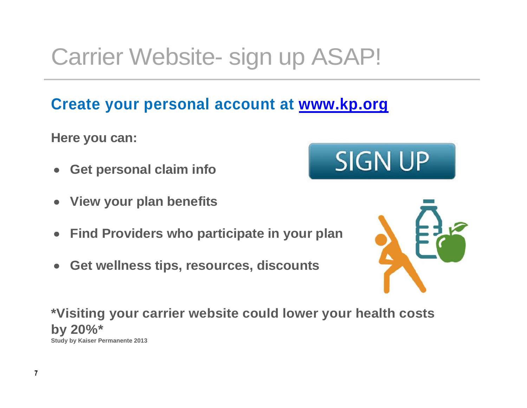## Carrier Website- sign up ASAP!

### **Create your personal account at www.kp.org**

**Here you can:** 

- **Get personal claim info**
- **View your plan benefits**
- **Find Providers who participate in your plan**
- **Get wellness tips, resources, discounts**

**\*Visiting your carrier website could lower your health costs by 20%\*** 

**Study by Kaiser Permanente 2013** 



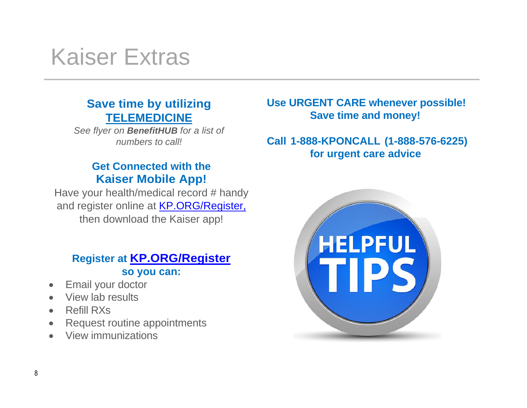### Kaiser Extras

#### **Save time by utilizing TELEMEDICINE**

*See flyer on BenefitHUB for a list of numbers to call!* 

#### **Get Connected with the Kaiser Mobile App!**

Have your health/medical record # handy and register online at **KP.ORG/Register,** then download the Kaiser app!

#### **Register at KP.ORG/Register so you can:**

- Email your doctor
- View lab results
- Refill RXs
- Request routine appointments
- View immunizations

#### **Use URGENT CARE whenever possible! Save time and money!**

#### **Call 1-888-KPONCALL (1-888-576-6225) for urgent care advice**

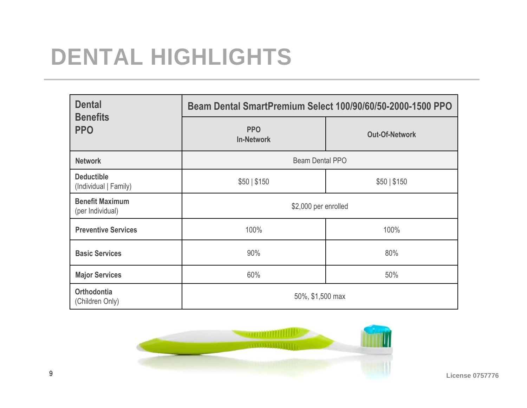## **DENTAL HIGHLIGHTS**

| <b>Dental</b><br><b>Benefits</b>           | Beam Dental SmartPremium Select 100/90/60/50-2000-1500 PPO |                       |  |  |
|--------------------------------------------|------------------------------------------------------------|-----------------------|--|--|
| <b>PPO</b>                                 | <b>PPO</b><br><b>In-Network</b>                            | <b>Out-Of-Network</b> |  |  |
| <b>Network</b>                             | Beam Dental PPO                                            |                       |  |  |
| <b>Deductible</b><br>(Individual   Family) | \$50   \$150                                               | \$50   \$150          |  |  |
| <b>Benefit Maximum</b><br>(per Individual) | \$2,000 per enrolled                                       |                       |  |  |
| <b>Preventive Services</b>                 | 100%                                                       | 100%                  |  |  |
| <b>Basic Services</b>                      | 90%                                                        | 80%                   |  |  |
| <b>Major Services</b>                      | 60%                                                        | 50%                   |  |  |
| <b>Orthodontia</b><br>(Children Only)      | 50%, \$1,500 max                                           |                       |  |  |

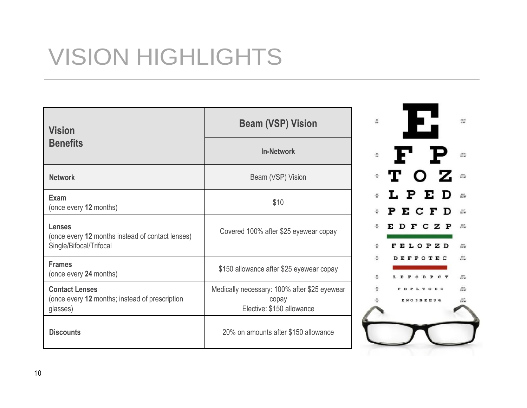## VISION HIGHLIGHTS

| <b>Vision</b>                                                                                | <b>Beam (VSP) Vision</b>                                                           | $\frac{10}{26}$<br>$rac{390 \text{ } \text{C}}{41 \text{ } \text{M} \text{C}}$ |
|----------------------------------------------------------------------------------------------|------------------------------------------------------------------------------------|--------------------------------------------------------------------------------|
| <b>Benefits</b>                                                                              | <b>In-Network</b>                                                                  | F P<br>$\frac{m}{16}$<br>$\frac{100}{200}$                                     |
| <b>Network</b>                                                                               | Beam (VSP) Vision                                                                  | ∗TOZ<br>$\frac{2047}{21.3367}$                                                 |
| Exam<br>(once every 12 months)                                                               | \$10                                                                               | LPED<br>$\frac{40H}{102H}$<br>EСF<br>P<br>$rac{1}{111}$                        |
| <b>Lenses</b><br>(once every 12 months instead of contact lenses)<br>Single/Bifocal/Trifocal | Covered 100% after \$25 eyewear copay                                              | <b>FELOPZD</b><br>$\frac{25.01}{7.02.90}$                                      |
| <b>Frames</b><br>(once every 24 months)                                                      | \$150 allowance after \$25 eyewear copay                                           | $\frac{mn}{n \cos m}$<br><b>FPOTEC</b><br>륷<br>$\frac{1047}{41040}$            |
| <b>Contact Lenses</b><br>(once every 12 months; instead of prescription<br>glasses)          | Medically necessary: 100% after \$25 eyewear<br>copay<br>Elective: \$150 allowance | $\frac{1977}{34640}$<br>F D P L T C E O<br><b>ENOSNEEUQ</b>                    |
| <b>Discounts</b>                                                                             | 20% on amounts after \$150 allowance                                               |                                                                                |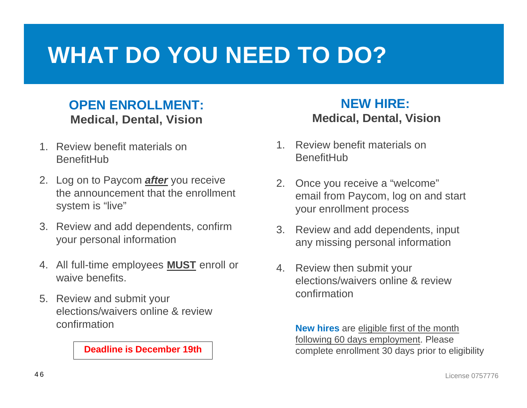### **WHAT DO YOU NEED TO DO?**

#### **OPEN ENROLLMENT: Medical, Dental, Vision**

- 1. Review benefit materials on **BenefitHub**
- 2. Log on to Paycom *after* you receive the announcement that the enrollment system is "live"
- 3. Review and add dependents, confirm your personal information
- 4. All full-time employees **MUST** enroll or waive benefits.
- 5. Review and submit your elections/waivers online & review confirmation

#### **Deadline is December 19th**

#### **NEW HIRE: Medical, Dental, Vision**

- 1. Review benefit materials on **BenefitHub**
- 2. Once you receive a "welcome" email from Paycom, log on and start your enrollment process
- 3. Review and add dependents, input any missing personal information
- 4. Review then submit your elections/waivers online & review confirmation

**New hires** are eligible first of the month following 60 days employment. Please complete enrollment 30 days prior to eligibility